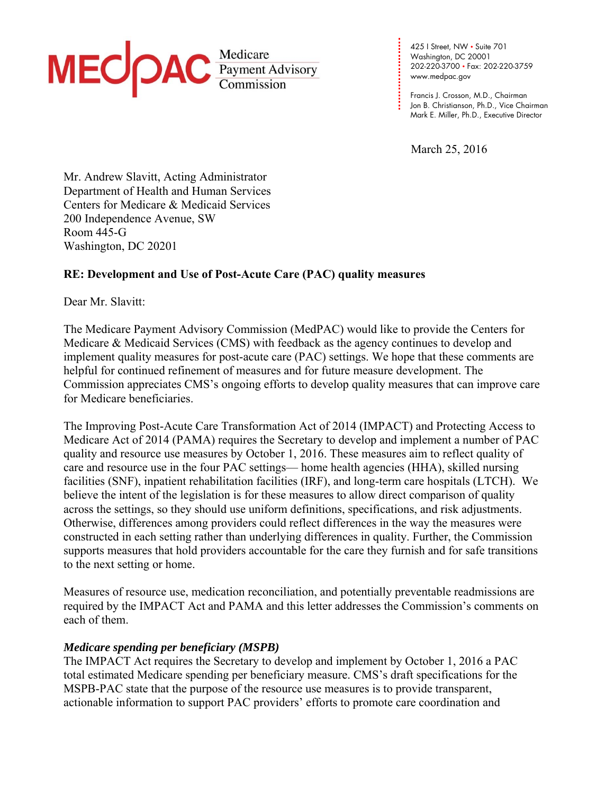

425 I Street, NW • Suite 701 Washington, DC 20001 202-220-3700 • Fax: 202-220-3759 www.medpac.gov

**. . . .**  Francis J. Crosson, M.D., Chairman Jon B. Christianson, Ph.D., Vice Chairman Mark E. Miller, Ph.D., Executive Director

March 25, 2016

**. . . . . . . . . . . . . . . .** 

**. .** 

Mr. Andrew Slavitt, Acting Administrator Department of Health and Human Services Centers for Medicare & Medicaid Services 200 Independence Avenue, SW Room 445-G Washington, DC 20201

# **RE: Development and Use of Post-Acute Care (PAC) quality measures**

Dear Mr. Slavitt:

The Medicare Payment Advisory Commission (MedPAC) would like to provide the Centers for Medicare & Medicaid Services (CMS) with feedback as the agency continues to develop and implement quality measures for post-acute care (PAC) settings. We hope that these comments are helpful for continued refinement of measures and for future measure development. The Commission appreciates CMS's ongoing efforts to develop quality measures that can improve care for Medicare beneficiaries.

The Improving Post-Acute Care Transformation Act of 2014 (IMPACT) and Protecting Access to Medicare Act of 2014 (PAMA) requires the Secretary to develop and implement a number of PAC quality and resource use measures by October 1, 2016. These measures aim to reflect quality of care and resource use in the four PAC settings— home health agencies (HHA), skilled nursing facilities (SNF), inpatient rehabilitation facilities (IRF), and long-term care hospitals (LTCH). We believe the intent of the legislation is for these measures to allow direct comparison of quality across the settings, so they should use uniform definitions, specifications, and risk adjustments. Otherwise, differences among providers could reflect differences in the way the measures were constructed in each setting rather than underlying differences in quality. Further, the Commission supports measures that hold providers accountable for the care they furnish and for safe transitions to the next setting or home.

Measures of resource use, medication reconciliation, and potentially preventable readmissions are required by the IMPACT Act and PAMA and this letter addresses the Commission's comments on each of them.

### *Medicare spending per beneficiary (MSPB)*

The IMPACT Act requires the Secretary to develop and implement by October 1, 2016 a PAC total estimated Medicare spending per beneficiary measure. CMS's draft specifications for the MSPB-PAC state that the purpose of the resource use measures is to provide transparent, actionable information to support PAC providers' efforts to promote care coordination and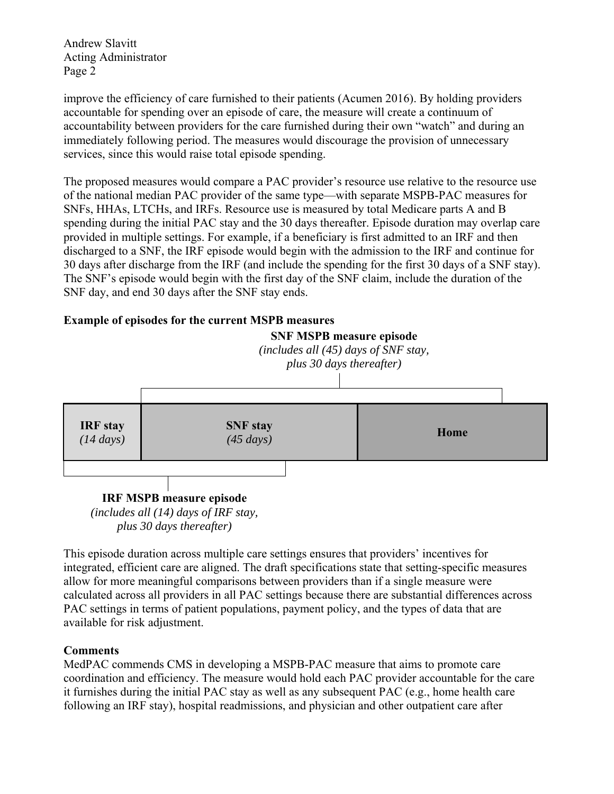improve the efficiency of care furnished to their patients (Acumen 2016). By holding providers accountable for spending over an episode of care, the measure will create a continuum of accountability between providers for the care furnished during their own "watch" and during an immediately following period. The measures would discourage the provision of unnecessary services, since this would raise total episode spending.

The proposed measures would compare a PAC provider's resource use relative to the resource use of the national median PAC provider of the same type—with separate MSPB-PAC measures for SNFs, HHAs, LTCHs, and IRFs. Resource use is measured by total Medicare parts A and B spending during the initial PAC stay and the 30 days thereafter. Episode duration may overlap care provided in multiple settings. For example, if a beneficiary is first admitted to an IRF and then discharged to a SNF, the IRF episode would begin with the admission to the IRF and continue for 30 days after discharge from the IRF (and include the spending for the first 30 days of a SNF stay). The SNF's episode would begin with the first day of the SNF claim, include the duration of the SNF day, and end 30 days after the SNF stay ends.

# **Example of episodes for the current MSPB measures**



This episode duration across multiple care settings ensures that providers' incentives for integrated, efficient care are aligned. The draft specifications state that setting-specific measures allow for more meaningful comparisons between providers than if a single measure were calculated across all providers in all PAC settings because there are substantial differences across PAC settings in terms of patient populations, payment policy, and the types of data that are available for risk adjustment.

# **Comments**

MedPAC commends CMS in developing a MSPB-PAC measure that aims to promote care coordination and efficiency. The measure would hold each PAC provider accountable for the care it furnishes during the initial PAC stay as well as any subsequent PAC (e.g., home health care following an IRF stay), hospital readmissions, and physician and other outpatient care after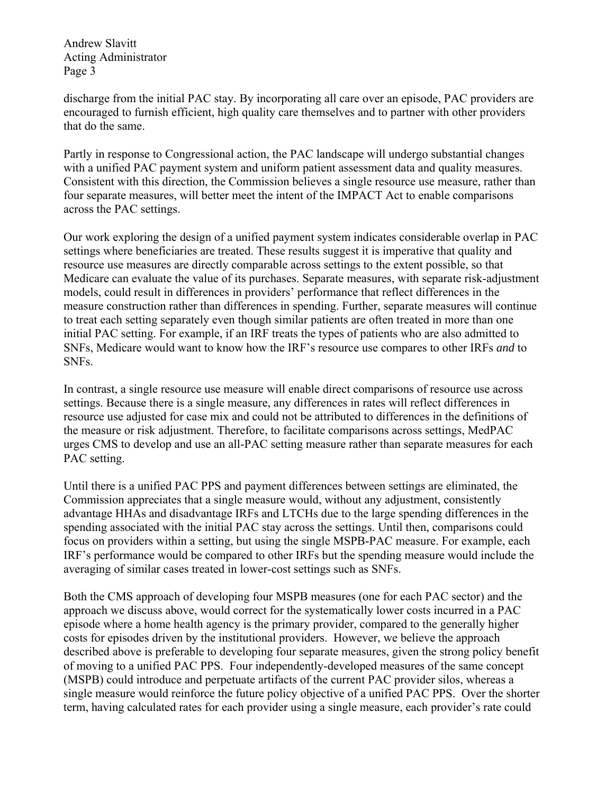discharge from the initial PAC stay. By incorporating all care over an episode, PAC providers are encouraged to furnish efficient, high quality care themselves and to partner with other providers that do the same.

Partly in response to Congressional action, the PAC landscape will undergo substantial changes with a unified PAC payment system and uniform patient assessment data and quality measures. Consistent with this direction, the Commission believes a single resource use measure, rather than four separate measures, will better meet the intent of the IMPACT Act to enable comparisons across the PAC settings.

Our work exploring the design of a unified payment system indicates considerable overlap in PAC settings where beneficiaries are treated. These results suggest it is imperative that quality and resource use measures are directly comparable across settings to the extent possible, so that Medicare can evaluate the value of its purchases. Separate measures, with separate risk-adjustment models, could result in differences in providers' performance that reflect differences in the measure construction rather than differences in spending. Further, separate measures will continue to treat each setting separately even though similar patients are often treated in more than one initial PAC setting. For example, if an IRF treats the types of patients who are also admitted to SNFs, Medicare would want to know how the IRF's resource use compares to other IRFs *and* to SNFs.

In contrast, a single resource use measure will enable direct comparisons of resource use across settings. Because there is a single measure, any differences in rates will reflect differences in resource use adjusted for case mix and could not be attributed to differences in the definitions of the measure or risk adjustment. Therefore, to facilitate comparisons across settings, MedPAC urges CMS to develop and use an all-PAC setting measure rather than separate measures for each PAC setting.

Until there is a unified PAC PPS and payment differences between settings are eliminated, the Commission appreciates that a single measure would, without any adjustment, consistently advantage HHAs and disadvantage IRFs and LTCHs due to the large spending differences in the spending associated with the initial PAC stay across the settings. Until then, comparisons could focus on providers within a setting, but using the single MSPB-PAC measure. For example, each IRF's performance would be compared to other IRFs but the spending measure would include the averaging of similar cases treated in lower-cost settings such as SNFs.

Both the CMS approach of developing four MSPB measures (one for each PAC sector) and the approach we discuss above, would correct for the systematically lower costs incurred in a PAC episode where a home health agency is the primary provider, compared to the generally higher costs for episodes driven by the institutional providers. However, we believe the approach described above is preferable to developing four separate measures, given the strong policy benefit of moving to a unified PAC PPS. Four independently-developed measures of the same concept (MSPB) could introduce and perpetuate artifacts of the current PAC provider silos, whereas a single measure would reinforce the future policy objective of a unified PAC PPS. Over the shorter term, having calculated rates for each provider using a single measure, each provider's rate could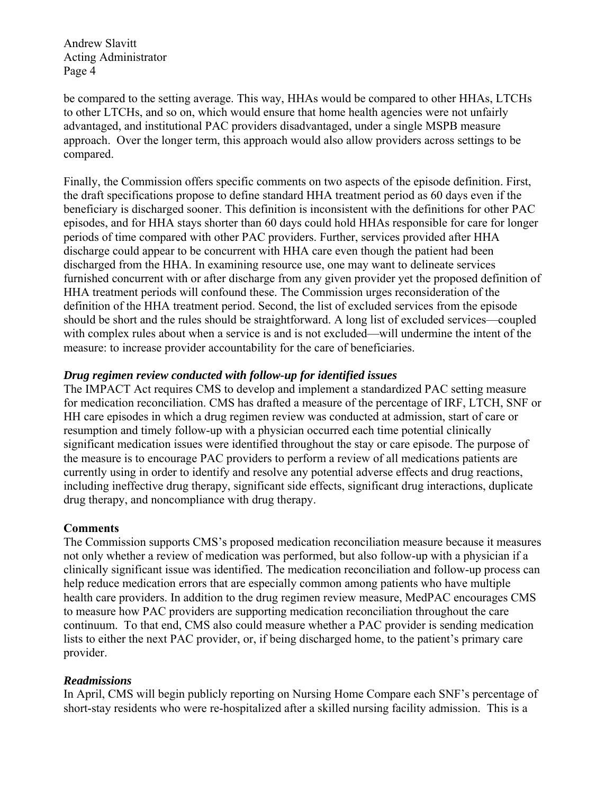be compared to the setting average. This way, HHAs would be compared to other HHAs, LTCHs to other LTCHs, and so on, which would ensure that home health agencies were not unfairly advantaged, and institutional PAC providers disadvantaged, under a single MSPB measure approach. Over the longer term, this approach would also allow providers across settings to be compared.

Finally, the Commission offers specific comments on two aspects of the episode definition. First, the draft specifications propose to define standard HHA treatment period as 60 days even if the beneficiary is discharged sooner. This definition is inconsistent with the definitions for other PAC episodes, and for HHA stays shorter than 60 days could hold HHAs responsible for care for longer periods of time compared with other PAC providers. Further, services provided after HHA discharge could appear to be concurrent with HHA care even though the patient had been discharged from the HHA. In examining resource use, one may want to delineate services furnished concurrent with or after discharge from any given provider yet the proposed definition of HHA treatment periods will confound these. The Commission urges reconsideration of the definition of the HHA treatment period. Second, the list of excluded services from the episode should be short and the rules should be straightforward. A long list of excluded services—coupled with complex rules about when a service is and is not excluded—will undermine the intent of the measure: to increase provider accountability for the care of beneficiaries.

# *Drug regimen review conducted with follow-up for identified issues*

The IMPACT Act requires CMS to develop and implement a standardized PAC setting measure for medication reconciliation. CMS has drafted a measure of the percentage of IRF, LTCH, SNF or HH care episodes in which a drug regimen review was conducted at admission, start of care or resumption and timely follow-up with a physician occurred each time potential clinically significant medication issues were identified throughout the stay or care episode. The purpose of the measure is to encourage PAC providers to perform a review of all medications patients are currently using in order to identify and resolve any potential adverse effects and drug reactions, including ineffective drug therapy, significant side effects, significant drug interactions, duplicate drug therapy, and noncompliance with drug therapy.

### **Comments**

The Commission supports CMS's proposed medication reconciliation measure because it measures not only whether a review of medication was performed, but also follow-up with a physician if a clinically significant issue was identified. The medication reconciliation and follow-up process can help reduce medication errors that are especially common among patients who have multiple health care providers. In addition to the drug regimen review measure, MedPAC encourages CMS to measure how PAC providers are supporting medication reconciliation throughout the care continuum. To that end, CMS also could measure whether a PAC provider is sending medication lists to either the next PAC provider, or, if being discharged home, to the patient's primary care provider.

# *Readmissions*

In April, CMS will begin publicly reporting on Nursing Home Compare each SNF's percentage of short-stay residents who were re-hospitalized after a skilled nursing facility admission. This is a